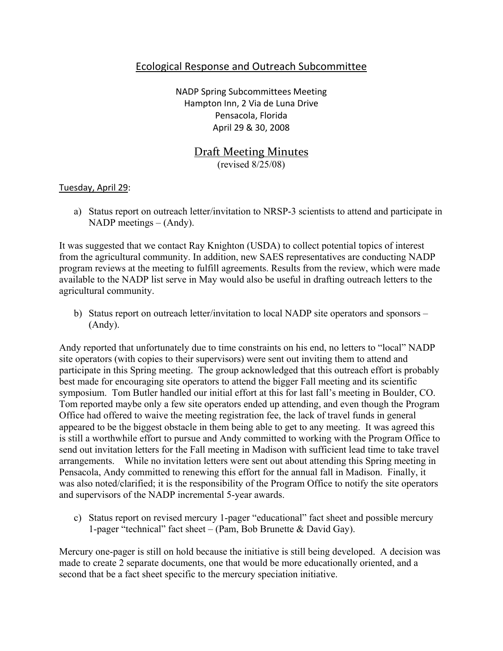## Ecological Response and Outreach Subcommittee

NADP Spring Subcommittees Meeting Hampton Inn, 2 Via de Luna Drive Pensacola, Florida April 29 & 30, 2008

# **Draft Meeting Minutes** (revised 8/25/08)

#### Tuesday, April 29:

a) Status report on outreach letter/invitation to NRSP-3 scientists to attend and participate in NADP meetings – (Andy).

It was suggested that we contact Ray Knighton (USDA) to collect potential topics of interest from the agricultural community. In addition, new SAES representatives are conducting NADP program reviews at the meeting to fulfill agreements. Results from the review, which were made available to the NADP list serve in May would also be useful in drafting outreach letters to the agricultural community.

b) Status report on outreach letter/invitation to local NADP site operators and sponsors – (Andy).

Andy reported that unfortunately due to time constraints on his end, no letters to "local" NADP site operators (with copies to their supervisors) were sent out inviting them to attend and participate in this Spring meeting. The group acknowledged that this outreach effort is probably best made for encouraging site operators to attend the bigger Fall meeting and its scientific symposium. Tom Butler handled our initial effort at this for last fall's meeting in Boulder, CO. Tom reported maybe only a few site operators ended up attending, and even though the Program Office had offered to waive the meeting registration fee, the lack of travel funds in general appeared to be the biggest obstacle in them being able to get to any meeting. It was agreed this is still a worthwhile effort to pursue and Andy committed to working with the Program Office to send out invitation letters for the Fall meeting in Madison with sufficient lead time to take travel arrangements. While no invitation letters were sent out about attending this Spring meeting in Pensacola, Andy committed to renewing this effort for the annual fall in Madison. Finally, it was also noted/clarified; it is the responsibility of the Program Office to notify the site operators and supervisors of the NADP incremental 5-year awards.

c) Status report on revised mercury 1-pager "educational" fact sheet and possible mercury 1-pager "technical" fact sheet – (Pam, Bob Brunette & David Gay).

Mercury one-pager is still on hold because the initiative is still being developed. A decision was made to create 2 separate documents, one that would be more educationally oriented, and a second that be a fact sheet specific to the mercury speciation initiative.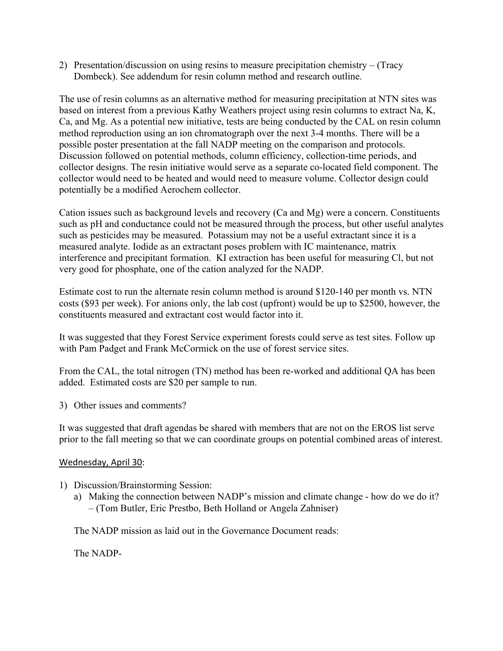2) Presentation/discussion on using resins to measure precipitation chemistry – (Tracy Dombeck). See addendum for resin column method and research outline.

The use of resin columns as an alternative method for measuring precipitation at NTN sites was based on interest from a previous Kathy Weathers project using resin columns to extract Na, K, Ca, and Mg. As a potential new initiative, tests are being conducted by the CAL on resin column method reproduction using an ion chromatograph over the next 3-4 months. There will be a possible poster presentation at the fall NADP meeting on the comparison and protocols. Discussion followed on potential methods, column efficiency, collection-time periods, and collector designs. The resin initiative would serve as a separate co-located field component. The collector would need to be heated and would need to measure volume. Collector design could potentially be a modified Aerochem collector.

Cation issues such as background levels and recovery (Ca and Mg) were a concern. Constituents such as pH and conductance could not be measured through the process, but other useful analytes such as pesticides may be measured. Potassium may not be a useful extractant since it is a measured analyte. Iodide as an extractant poses problem with IC maintenance, matrix interference and precipitant formation. KI extraction has been useful for measuring Cl, but not very good for phosphate, one of the cation analyzed for the NADP.

Estimate cost to run the alternate resin column method is around \$120-140 per month vs. NTN costs (\$93 per week). For anions only, the lab cost (upfront) would be up to \$2500, however, the constituents measured and extractant cost would factor into it.

It was suggested that they Forest Service experiment forests could serve as test sites. Follow up with Pam Padget and Frank McCormick on the use of forest service sites.

From the CAL, the total nitrogen (TN) method has been re-worked and additional QA has been added. Estimated costs are \$20 per sample to run.

3) Other issues and comments?

It was suggested that draft agendas be shared with members that are not on the EROS list serve prior to the fall meeting so that we can coordinate groups on potential combined areas of interest.

### Wednesday, April 30:

- 1) Discussion/Brainstorming Session:
	- a) Making the connection between NADP's mission and climate change how do we do it? – (Tom Butler, Eric Prestbo, Beth Holland or Angela Zahniser)

The NADP mission as laid out in the Governance Document reads:

The NADP-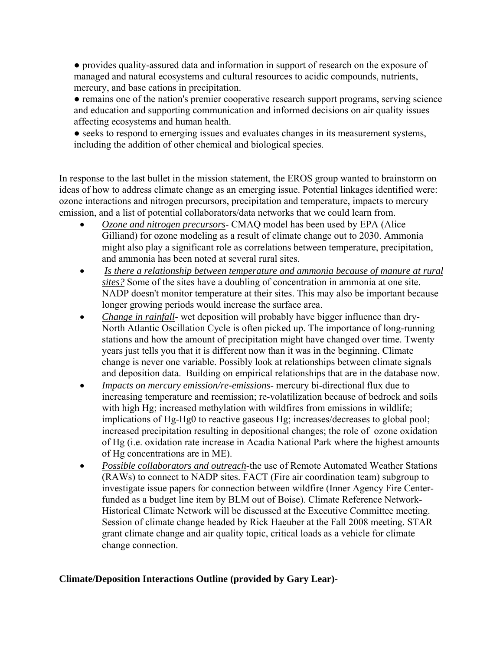● provides quality-assured data and information in support of research on the exposure of managed and natural ecosystems and cultural resources to acidic compounds, nutrients, mercury, and base cations in precipitation.

● remains one of the nation's premier cooperative research support programs, serving science and education and supporting communication and informed decisions on air quality issues affecting ecosystems and human health.

• seeks to respond to emerging issues and evaluates changes in its measurement systems, including the addition of other chemical and biological species.

In response to the last bullet in the mission statement, the EROS group wanted to brainstorm on ideas of how to address climate change as an emerging issue. Potential linkages identified were: ozone interactions and nitrogen precursors, precipitation and temperature, impacts to mercury emission, and a list of potential collaborators/data networks that we could learn from.

- *Ozone and nitrogen precursors* CMAQ model has been used by EPA (Alice Gilliand) for ozone modeling as a result of climate change out to 2030. Ammonia might also play a significant role as correlations between temperature, precipitation, and ammonia has been noted at several rural sites.
- *Is there a relationship between temperature and ammonia because of manure at rural sites?* Some of the sites have a doubling of concentration in ammonia at one site. NADP doesn't monitor temperature at their sites. This may also be important because longer growing periods would increase the surface area.
- *Change in rainfall* wet deposition will probably have bigger influence than dry-North Atlantic Oscillation Cycle is often picked up. The importance of long-running stations and how the amount of precipitation might have changed over time. Twenty years just tells you that it is different now than it was in the beginning. Climate change is never one variable. Possibly look at relationships between climate signals and deposition data. Building on empirical relationships that are in the database now.
- *Impacts on mercury emission/re-emissions* mercury bi-directional flux due to increasing temperature and reemission; re-volatilization because of bedrock and soils with high Hg; increased methylation with wildfires from emissions in wildlife; implications of Hg-Hg0 to reactive gaseous Hg; increases/decreases to global pool; increased precipitation resulting in depositional changes; the role of ozone oxidation of Hg (i.e. oxidation rate increase in Acadia National Park where the highest amounts of Hg concentrations are in ME).
- *Possible collaborators and outreach*-the use of Remote Automated Weather Stations (RAWs) to connect to NADP sites. FACT (Fire air coordination team) subgroup to investigate issue papers for connection between wildfire (Inner Agency Fire Centerfunded as a budget line item by BLM out of Boise). Climate Reference Network-Historical Climate Network will be discussed at the Executive Committee meeting. Session of climate change headed by Rick Haeuber at the Fall 2008 meeting. STAR grant climate change and air quality topic, critical loads as a vehicle for climate change connection.

### **Climate/Deposition Interactions Outline (provided by Gary Lear)-**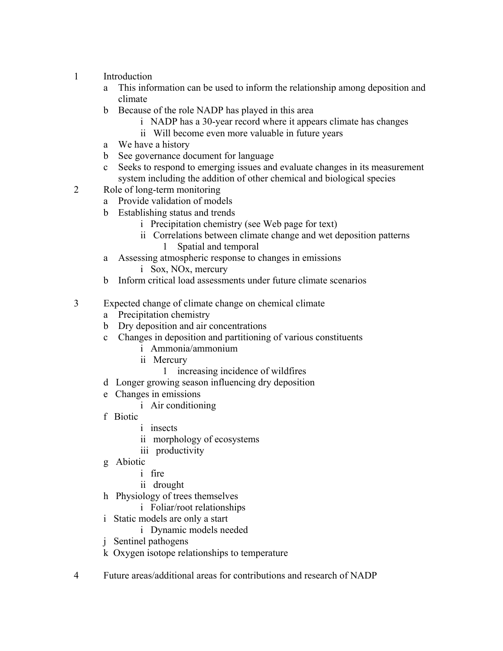- 1 Introduction
	- a This information can be used to inform the relationship among deposition and climate
	- b Because of the role NADP has played in this area
		- i NADP has a 30-year record where it appears climate has changes
		- ii Will become even more valuable in future years
	- a We have a history
	- b See governance document for language
	- c Seeks to respond to emerging issues and evaluate changes in its measurement system including the addition of other chemical and biological species
- 2 Role of long-term monitoring
	- a Provide validation of models
	- b Establishing status and trends
		- i Precipitation chemistry (see Web page for text)
		- ii Correlations between climate change and wet deposition patterns 1 Spatial and temporal
	- a Assessing atmospheric response to changes in emissions
		- i Sox, NOx, mercury
	- b Inform critical load assessments under future climate scenarios
- 3 Expected change of climate change on chemical climate
	- a Precipitation chemistry
	- b Dry deposition and air concentrations
	- c Changes in deposition and partitioning of various constituents
		- i Ammonia/ammonium
		- ii Mercury
			- 1 increasing incidence of wildfires
	- d Longer growing season influencing dry deposition
	- e Changes in emissions
		- i Air conditioning
	- f Biotic
		- i insects
		- ii morphology of ecosystems
		- iii productivity
	- g Abiotic
		- i fire
		- ii drought
	- h Physiology of trees themselves
		- i Foliar/root relationships
	- i Static models are only a start
		- i Dynamic models needed
	- j Sentinel pathogens
	- k Oxygen isotope relationships to temperature
- 4 Future areas/additional areas for contributions and research of NADP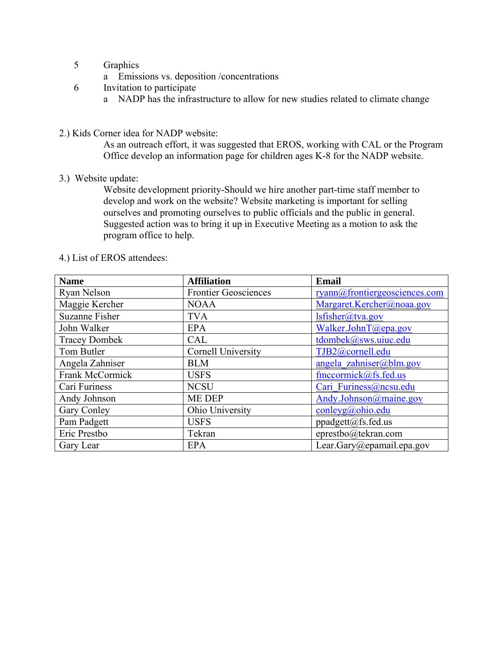- 5 Graphics
	- a Emissions vs. deposition /concentrations
- 6 Invitation to participate
	- a NADP has the infrastructure to allow for new studies related to climate change
- 2.) Kids Corner idea for NADP website:

As an outreach effort, it was suggested that EROS, working with CAL or the Program Office develop an information page for children ages K-8 for the NADP website.

3.) Website update:

Website development priority-Should we hire another part-time staff member to develop and work on the website? Website marketing is important for selling ourselves and promoting ourselves to public officials and the public in general. Suggested action was to bring it up in Executive Meeting as a motion to ask the program office to help.

| <b>Name</b>           | <b>Affiliation</b>          | <b>Email</b>                  |
|-----------------------|-----------------------------|-------------------------------|
| Ryan Nelson           | <b>Frontier Geosciences</b> | ryann@frontiergeosciences.com |
| Maggie Kercher        | <b>NOAA</b>                 | Margaret.Kercher@noaa.gov     |
| <b>Suzanne Fisher</b> | <b>TVA</b>                  | $lsfisher@$ tva.gov           |
| John Walker           | <b>EPA</b>                  | Walker.JohnT@epa.gov          |
| <b>Tracey Dombek</b>  | CAL                         | tdombek@sws.uiuc.edu          |
| Tom Butler            | <b>Cornell University</b>   | TJB2@cornell.edu              |
| Angela Zahniser       | <b>BLM</b>                  | angela zahniser@blm.gov       |
| Frank McCormick       | <b>USFS</b>                 | $f$ mccormick $(a)$ fs.fed.us |
| Cari Furiness         | <b>NCSU</b>                 | Cari Furiness@ncsu.edu        |
| Andy Johnson          | ME DEP                      | Andy.Johnson@maine.gov        |
| Gary Conley           | Ohio University             | conleyg@ohio.edu              |
| Pam Padgett           | <b>USFS</b>                 | ppadgett@fs.fed.us            |
| Eric Prestbo          | Tekran                      | eprestbo@tekran.com           |
| Gary Lear             | <b>EPA</b>                  | Lear.Gary@epamail.epa.gov     |

4.) List of EROS attendees: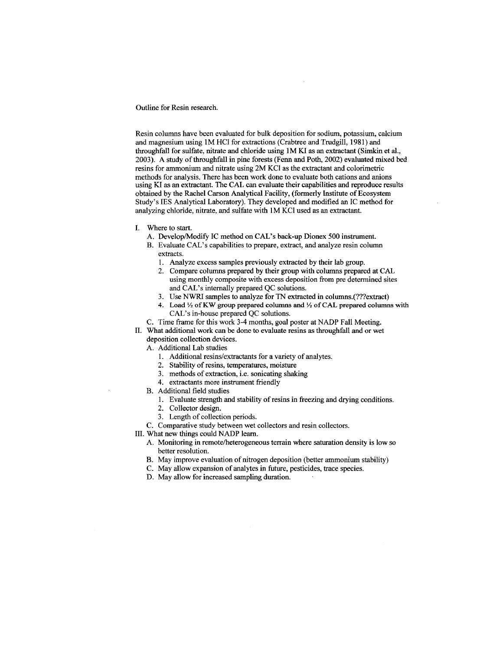Outline for Resin research.

Resin columns have been evaluated for bulk deposition for sodium, potassium, calcium and magnesium using 1M HCl for extractions (Crabtree and Trudgill, 1981) and throughfall for sulfate, nitrate and chloride using 1M KI as an extractant (Simkin et al., 2003). A study of throughfall in pine forests (Fenn and Poth, 2002) evaluated mixed bed resins for ammonium and nitrate using 2M KCl as the extractant and colorimetric methods for analysis. There has been work done to evaluate both cations and anions using KI as an extractant. The CAL can evaluate their capabilities and reproduce results obtained by the Rachel Carson Analytical Facility, (formerly Institute of Ecosystem Study's IES Analytical Laboratory). They developed and modified an IC method for analyzing chloride, nitrate, and sulfate with 1M KCl used as an extractant.

- I. Where to start.
	- A. Develop/Modify IC method on CAL's back-up Dionex 500 instrument.
	- B. Evaluate CAL's capabilities to prepare, extract, and analyze resin column extracts.
		- 1. Analyze excess samples previously extracted by their lab group.
		- 2. Compare columns prepared by their group with columns prepared at CAL using monthly composite with excess deposition from pre determined sites and CAL's internally prepared QC solutions.
		- 3. Use NWRI samples to analyze for TN extracted in columns.(???extract)
		- 4. Load 1/2 of KW group prepared columns and 1/2 of CAL prepared columns with CAL's in-house prepared QC solutions.
	- C. Time frame for this work 3-4 months, goal poster at NADP Fall Meeting.
- II. What additional work can be done to evaluate resins as throughfall and or wet
	- deposition collection devices.
	- A. Additional Lab studies
		- 1. Additional resins/extractants for a variety of analytes.
		- 2. Stability of resins, temperatures, moisture
		- 3. methods of extraction, i.e. sonicating shaking
		- 4. extractants more instrument friendly
	- B. Additional field studies
		- 1. Evaluate strength and stability of resins in freezing and drying conditions.
		- 2. Collector design.
		- 3. Length of collection periods.
	- C. Comparative study between wet collectors and resin collectors.
- III. What new things could NADP learn.
	- A. Monitoring in remote/heterogeneous terrain where saturation density is low so better resolution.
	- B. May improve evaluation of nitrogen deposition (better ammonium stability)
	- C. May allow expansion of analytes in future, pesticides, trace species.
	- D. May allow for increased sampling duration.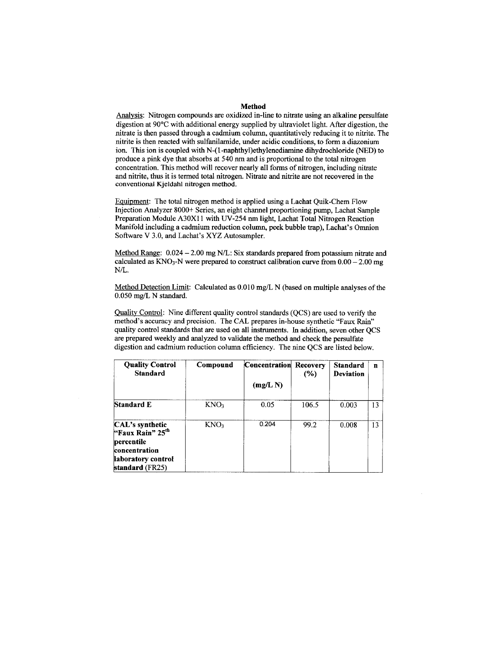#### Method

Analysis: Nitrogen compounds are oxidized in-line to nitrate using an alkaline persulfate digestion at 90°C with additional energy supplied by ultraviolet light. After digestion, the nitrate is then passed through a cadmium column, quantitatively reducing it to nitrite. The nitrite is then reacted with sulfanilamide, under acidic conditions, to form a diazonium ion. This ion is coupled with N-(1-naphthyl)ethylenediamine dihydrochloride (NED) to produce a pink dye that absorbs at 540 nm and is proportional to the total nitrogen concentration. This method will recover nearly all forms of nitrogen, including nitrate and nitrite, thus it is termed total nitrogen. Nitrate and nitrite are not recovered in the conventional Kjeldahl nitrogen method.

Equipment: The total nitrogen method is applied using a Lachat Quik-Chem Flow Injection Analyzer 8000+ Series, an eight channel proportioning pump, Lachat Sample Preparation Module A30X11 with UV-254 nm light, Lachat Total Nitrogen Reaction Manifold including a cadmium reduction column, peek bubble trap), Lachat's Omnion Software V 3.0, and Lachat's XYZ Autosampler.

Method Range: 0.024 - 2.00 mg N/L: Six standards prepared from potassium nitrate and calculated as  $KNO_3-N$  were prepared to construct calibration curve from  $0.00-2.00$  mg  $N/L$ .

Method Detection Limit: Calculated as 0.010 mg/L N (based on multiple analyses of the 0.050 mg/L N standard.

Quality Control: Nine different quality control standards (QCS) are used to verify the method's accuracy and precision. The CAL prepares in-house synthetic "Faux Rain" quality control standards that are used on all instruments. In addition, seven other OCS are prepared weekly and analyzed to validate the method and check the persulfate digestion and cadmium reduction column efficiency. The nine QCS are listed below.

| Compound         |        | $(\%)$ | <b>Standard</b><br><b>Deviation</b> | n  |
|------------------|--------|--------|-------------------------------------|----|
|                  | (mg/L) |        |                                     |    |
| KNO <sub>3</sub> | 0.05   | 106.5  | 0.003                               | 13 |
| KNO <sub>3</sub> | 0.204  | 99.2   | 0.008                               | 13 |
|                  |        |        | <b>Concentration Recovery</b>       |    |